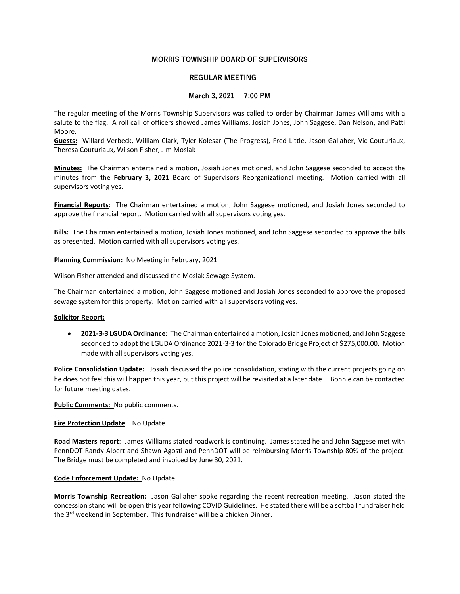# MORRIS TOWNSHIP BOARD OF SUPERVISORS

### REGULAR MEETING

### March 3, 2021 7:00 PM

The regular meeting of the Morris Township Supervisors was called to order by Chairman James Williams with a salute to the flag. A roll call of officers showed James Williams, Josiah Jones, John Saggese, Dan Nelson, and Patti Moore.

Guests: Willard Verbeck, William Clark, Tyler Kolesar (The Progress), Fred Little, Jason Gallaher, Vic Couturiaux, Theresa Couturiaux, Wilson Fisher, Jim Moslak

Minutes: The Chairman entertained a motion, Josiah Jones motioned, and John Saggese seconded to accept the minutes from the February 3, 2021 Board of Supervisors Reorganizational meeting. Motion carried with all supervisors voting yes.

Financial Reports: The Chairman entertained a motion, John Saggese motioned, and Josiah Jones seconded to approve the financial report. Motion carried with all supervisors voting yes.

Bills: The Chairman entertained a motion, Josiah Jones motioned, and John Saggese seconded to approve the bills as presented. Motion carried with all supervisors voting yes.

Planning Commission: No Meeting in February, 2021

Wilson Fisher attended and discussed the Moslak Sewage System.

The Chairman entertained a motion, John Saggese motioned and Josiah Jones seconded to approve the proposed sewage system for this property. Motion carried with all supervisors voting yes.

#### Solicitor Report:

• 2021-3-3 LGUDA Ordinance: The Chairman entertained a motion, Josiah Jones motioned, and John Saggese seconded to adopt the LGUDA Ordinance 2021-3-3 for the Colorado Bridge Project of \$275,000.00. Motion made with all supervisors voting yes.

Police Consolidation Update: Josiah discussed the police consolidation, stating with the current projects going on he does not feel this will happen this year, but this project will be revisited at a later date. Bonnie can be contacted for future meeting dates.

Public Comments: No public comments.

#### **Fire Protection Update:** No Update

Road Masters report: James Williams stated roadwork is continuing. James stated he and John Saggese met with PennDOT Randy Albert and Shawn Agosti and PennDOT will be reimbursing Morris Township 80% of the project. The Bridge must be completed and invoiced by June 30, 2021.

#### Code Enforcement Update: No Update.

Morris Township Recreation: Jason Gallaher spoke regarding the recent recreation meeting. Jason stated the concession stand will be open this year following COVID Guidelines. He stated there will be a softball fundraiser held the 3<sup>rd</sup> weekend in September. This fundraiser will be a chicken Dinner.